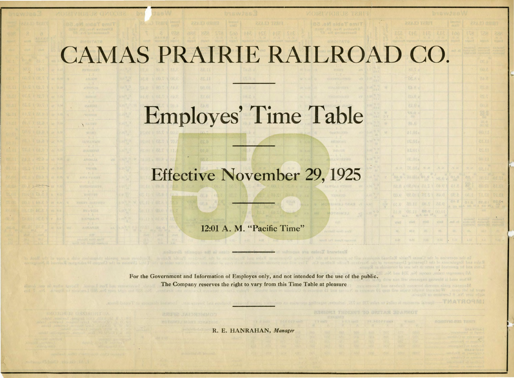## CAMAS PRAIRIE RAILROAD

## Employes' Time Table

## Effective November 29,1925

12:01 A. M. "Pacific Time"

For the Government and Information of Employes only, and not intended for the use of the public. The Company reserves the right to vary from this Time Table at pleasure

R. E. HANRAHAN, *Manager* 

| <b>PEACE CLASS</b>       |                           | <b>QRI/LIDS</b> 6<br>事業者弁課 |                                                                  | <b>REALTO CHASS</b>                                         |                                                |  |  |  |  |  |  |  |  |
|--------------------------|---------------------------|----------------------------|------------------------------------------------------------------|-------------------------------------------------------------|------------------------------------------------|--|--|--|--|--|--|--|--|
| 社長 川田 初日                 |                           | 100<br>59 I.W              | <b>INE</b>                                                       | <b>VBW</b>                                                  | <b>CSK</b><br><b>PONTES</b>                    |  |  |  |  |  |  |  |  |
|                          |                           | <b>Filipian F</b>          | 3.026453                                                         | sont why                                                    | <b>Frialent</b>                                |  |  |  |  |  |  |  |  |
|                          |                           | 和汉里 天线                     | <b>NVADE ONT</b><br><b>Airla</b> of<br><b>TEAD</b> 10752         | aya (m.n.)<br>126   137   57<br><b>ratheine</b>             | ACTS, OULD M.<br>avebroad<br>Francouz          |  |  |  |  |  |  |  |  |
|                          |                           |                            |                                                                  | <b>OE</b> &                                                 |                                                |  |  |  |  |  |  |  |  |
| 86.7.2                   |                           |                            |                                                                  | (光).己                                                       |                                                |  |  |  |  |  |  |  |  |
| 8.20                     |                           |                            |                                                                  | 5.45                                                        |                                                |  |  |  |  |  |  |  |  |
| EL.R d                   |                           |                            |                                                                  | 29.0                                                        |                                                |  |  |  |  |  |  |  |  |
| EU.C.                    |                           |                            |                                                                  | 25.7                                                        |                                                |  |  |  |  |  |  |  |  |
| 81.8a                    |                           |                            |                                                                  | O(1, R)                                                     |                                                |  |  |  |  |  |  |  |  |
| 59.42 4<br>354           |                           |                            |                                                                  | 28.是                                                        |                                                |  |  |  |  |  |  |  |  |
| 81.8                     |                           |                            |                                                                  | 88.B<br><b>BO. OZ</b>                                       |                                                |  |  |  |  |  |  |  |  |
| 14.01a                   |                           |                            |                                                                  | 00.11                                                       |                                                |  |  |  |  |  |  |  |  |
| s10.20                   |                           |                            |                                                                  | 11.15                                                       |                                                |  |  |  |  |  |  |  |  |
| <b>ASOLI</b>             |                           |                            |                                                                  | 25.11                                                       |                                                |  |  |  |  |  |  |  |  |
| LIE ULa                  |                           |                            |                                                                  | 01.11                                                       |                                                |  |  |  |  |  |  |  |  |
| M.P. slU.37              | $\mathcal{U},\mathcal{P}$ | 9.76                       | $N - M$                                                          | 02.11                                                       |                                                |  |  |  |  |  |  |  |  |
| <b>ALONOIS</b>           | HE.C.                     | $O_{\frac{1}{2000}}$       | 88,1                                                             | 10.81                                                       | 12.70                                          |  |  |  |  |  |  |  |  |
| 02.01 a1.51              | <b>OA G X</b>             | 3.15                       | $25 - 1$                                                         | 12.05                                                       | 81.91                                          |  |  |  |  |  |  |  |  |
| ez.ort hs.s.y            | 84.0                      | OE.B                       | 1万元                                                              | 12.17                                                       | TLET                                           |  |  |  |  |  |  |  |  |
| 20.11   OK.9             | 8.85                      | Da B                       | 2100                                                             | ■S252 1                                                     | (草原品)                                          |  |  |  |  |  |  |  |  |
| 88.2<br>01.11<br>麻花<br>٨ | <b>UO, UT</b>             |                            |                                                                  | <b>No</b>                                                   |                                                |  |  |  |  |  |  |  |  |
| <b>Wind</b><br>安計画院      | <b>KIRG</b>               | $m\Omega$ $R2$             | <b>Rivelensar</b><br><b>PESATION</b><br><b>Fit full Vict But</b> | <b>RUSBERDY</b><br><b>SYNNAMITY</b><br><b>Mobiline / 43</b> | <b>THANGY</b><br>rente way<br><b>INDENSINA</b> |  |  |  |  |  |  |  |  |
| èš.<br>高度                | 灿.                        | CE.                        | 司机                                                               | 44.4                                                        |                                                |  |  |  |  |  |  |  |  |
| L/d<br>790               | 0.80                      | TVI                        | 1.11                                                             | 3.32                                                        | 194                                            |  |  |  |  |  |  |  |  |
|                          |                           |                            |                                                                  |                                                             |                                                |  |  |  |  |  |  |  |  |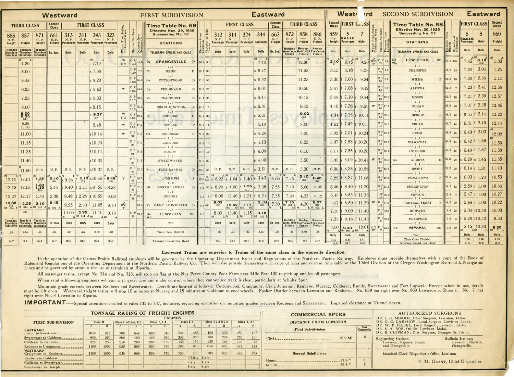|                  |                                                                                                              |                    | Westward         |                    |               |                                                     |              |             |                                    |                      | <b>West</b><br><b>SECOND SUBDIVISION</b><br><b>Eastward</b><br><b>ird</b><br><b>FIRST SUBDIVISION</b> |                                            |                                                           |                                                                                                                                                                                                                                                        |              |                    |                  |                                                                                               |                                          |      | <b>Eastward</b> |                                              |               |                                                                                                                                                |                                              |                                   |                                                                                                                        |               |                |
|------------------|--------------------------------------------------------------------------------------------------------------|--------------------|------------------|--------------------|---------------|-----------------------------------------------------|--------------|-------------|------------------------------------|----------------------|-------------------------------------------------------------------------------------------------------|--------------------------------------------|-----------------------------------------------------------|--------------------------------------------------------------------------------------------------------------------------------------------------------------------------------------------------------------------------------------------------------|--------------|--------------------|------------------|-----------------------------------------------------------------------------------------------|------------------------------------------|------|-----------------|----------------------------------------------|---------------|------------------------------------------------------------------------------------------------------------------------------------------------|----------------------------------------------|-----------------------------------|------------------------------------------------------------------------------------------------------------------------|---------------|----------------|
|                  | <b>THIRD CLASS</b>                                                                                           |                    | Second<br>Class  |                    |               | <b>FIRST CLASS</b>                                  |              |             |                                    |                      | Time Table No. 58                                                                                     |                                            |                                                           | <b>FIRST CLASS</b>                                                                                                                                                                                                                                     |              |                    | Second<br>Class  |                                                                                               | <b>THIRD CLASS</b>                       |      |                 | Second FIRST C. SS                           |               |                                                                                                                                                | Time Table No. 58                            |                                   | <b>FIRST CLASS</b> Second                                                                                              |               |                |
| 885              | 857                                                                                                          | 871                | 661              | 313                | 311           | 343                                                 | 323          | uel. S      |                                    |                      | Effective Nov. 29, 1925<br>Succeeding No. 57                                                          |                                            | 312                                                       | 314                                                                                                                                                                                                                                                    |              | 344<br>324         | 662              | 872<br>858                                                                                    |                                          | 886  | 859             | $5\overline{)}$                              |               |                                                                                                                                                | Effective Nov. 29, 1925<br>Succeeding No. 57 |                                   |                                                                                                                        | 8             | 860            |
| N. P.<br>Freight | Freight                                                                                                      | N. P.<br>Freight   | N. P.<br>Freight | N. P.<br>Passenger | N. P.         | Passenger Passenger Passenger                       | N. P.        |             | from                               |                      | <b>STATIONS</b>                                                                                       |                                            | N. P.<br>N. P.<br>Passenger Passenger Passenger Passenger |                                                                                                                                                                                                                                                        | N. P.        |                    | N. P.<br>Freight | N. P.<br>Freight                                                                              | N. P.<br>Freight<br>Freight              |      |                 | 0.W.R.& N.<br>Freight Passenger              | <b>Motor</b>  | <b>z</b>                                                                                                                                       | <b>STATIONS</b>                              |                                   | .W.R.& N.<br>Passenger                                                                                                 | Motor         | Freight        |
|                  | <b>Tuesdays Tuesdays Tuesdays</b><br>Thursdays Thursdays Thursdays Ex. Sun.<br>Saturdays Saturdays Saturdays |                    |                  | <b>Daily</b>       | Dally         | <b>Dally</b>                                        | Daily        | Table       | Sta<br>Dis-                        |                      | <b>TELEGRAPH OFFICES AND CALLS</b>                                                                    | Distance<br>Lewiston<br>Capacity<br>Tracks | <b>Daily</b>                                              | <b>Daily</b>                                                                                                                                                                                                                                           | <b>Daily</b> | <b>Daily</b>       | Ex. Sun.         | <b>Mondays Mondays Mondays</b><br>Wedn'sdys Wedn'sdys Wedn'sdays<br>Fridays Fridays Fridays   |                                          |      | <b>Daily</b>    | Daily                                        | Daily         | Wat<br>Tabl<br>Stat                                                                                                                            | TELEGRAPH OFFICES AND CALLS                  | Distan<br>Ripar<br>$5\frac{1}{2}$ | Daily                                                                                                                  | Daily         | <b>Daily</b>   |
|                  |                                                                                                              |                    |                  |                    |               | AM<br>$\mathbf{L}$                                  |              |             | C F                                | $0.0$ Ge             | GRANGEVILLE                                                                                           | 76.8 60                                    |                                                           |                                                                                                                                                                                                                                                        |              | 7.10               |                  |                                                                                               | 12.30                                    |      |                 | $3.10$ 6.45                                  | 9.20          | $\begin{array}{c c c c} \text{wc} & \text{C} & \text{P} & \text{o.o} & \text{De} \\ \text{T} & \text{72} & \text{o.o} & \text{Wn} \end{array}$ | LEWISTON<br>DN                               | 72.0 450                          | $^{\text{M}}$ 7.45                                                                                                     | 3.10          | 1.30           |
|                  | 4.30                                                                                                         |                    |                  |                    |               | 7.40                                                |              | $CY$ 143    | $CP$ <sub>7.</sub>                 |                      |                                                                                                       |                                            |                                                           |                                                                                                                                                                                                                                                        |              | 6.47               |                  |                                                                                               | 11.55                                    |      | 3.15            | 6.48                                         | 9.23          | $\begin{array}{ c c }\n\hline\nC & P & 1.0 \\ \hline\n71 & & \\\hline\n\end{array}$                                                            | <b>TRANSFER</b>                              | 71.0 15                           | 7.40                                                                                                                   | 3.04          | 1.24           |
|                  | 5.00                                                                                                         |                    |                  |                    |               | s 7.58                                              |              |             | 142<br>$ C P _{15}$                | F <sub>n</sub>       | FENN                                                                                                  | D 69.7 35                                  |                                                           |                                                                                                                                                                                                                                                        |              |                    |                  |                                                                                               |                                          |      |                 |                                              |               | $C_P 6.1$                                                                                                                                      | $-5.1 -$                                     |                                   | P 65.9 70 f 7.30 f 2.50                                                                                                |               | 1.10           |
|                  | 5.45                                                                                                         |                    |                  |                    |               | s 8.20                                              |              |             | 133                                | Co                   | COTTONWOOD                                                                                            | D 61.2 50                                  |                                                           |                                                                                                                                                                                                                                                        |              | 6.22               |                  |                                                                                               | 11.25                                    |      |                 | 3.30 f 7.00                                  | 9.34          |                                                                                                                                                | <b>WILMA</b><br>$-3.4-$                      |                                   | 62.5 $\frac{1}{7}$ f 7.23 f 2.41                                                                                       |               | 12.59          |
|                  | 6.25                                                                                                         |                    |                  |                    |               | $s$ 8.43                                            |              | W           | $ C P $ 24.<br>125                 | Rg.                  | FERDINAND                                                                                             | D 52.6 20                                  |                                                           |                                                                                                                                                                                                                                                        |              | $s$ 6.01           |                  |                                                                                               | 10.50                                    |      |                 | 3.45 f 7.08 f 9.42                           |               | $C_P_{9.5}$<br>63                                                                                                                              | <b>ALPOWA</b><br>$0.8 -$                     |                                   |                                                                                                                        |               |                |
|                  | 7.25                                                                                                         |                    |                  |                    |               | $s$ 9.03                                            |              |             | $C P$ <sub>32.1</sub> $V_0$<br>117 |                      | CRAIGMONT                                                                                             | D 44.7 30                                  |                                                           |                                                                                                                                                                                                                                                        |              | $s$ 5.44           |                  |                                                                                               | 10.15                                    |      |                 | 3.48 f 7.10 f 9.44                           |               | $C_{62}P_{10.3}$                                                                                                                               | <b>MOSES</b><br>$6.8 -$                      |                                   | 61.7 70 f 7.21 f 2.39                                                                                                  |               | 12.57          |
|                  | 8.00                                                                                                         |                    |                  |                    |               | $s$ 9.15                                            |              |             | $C P'$ 36.<br> 113                 |                      | CRAIG JUNCTION                                                                                        | 40.2                                       |                                                           |                                                                                                                                                                                                                                                        |              | $s$ 5.31           |                  |                                                                                               | 9.45                                     |      |                 | 4.10 $\vert f \vert 7.26 \vert f \vert 9.59$ |               | $W$ C P <sub>17.1</sub>                                                                                                                        | <b>INDIAN</b><br>$-5.4-$                     |                                   | 54.9 70 f 7.07 f 2.25                                                                                                  |               | 12.36          |
|                  | $\begin{array}{r} \mathbf{8.30} \\ \mathbf{9.35} \\ \mathrm{343} \end{array}$                                |                    |                  |                    |               | 9.27<br>857                                         |              | W<br>YC 109 | $C P$ 40.4 Ru                      |                      | $3.8 -$<br><b>REUBENS</b>                                                                             | D 36.4 30                                  |                                                           |                                                                                                                                                                                                                                                        |              | $s$ 5.21           |                  |                                                                                               | 9.02                                     |      |                 | 4 34 f 7.38 f 10.11                          |               | $C$ P <sub>22.5</sub><br>50                                                                                                                    | <b>BISHOP</b>                                |                                   | $\mathbb{P}$ 49.5 $\mathbb{Z}$ 70 f 6.55 f 2.14 12.20                                                                  |               |                |
|                  | 9.56<br>10.06                                                                                                |                    |                  |                    |               | 9.48                                                |              | W           | C P $_{47.0}$<br>$\boxed{102}$     |                      | $-6.6-$<br><b>NUCRAG</b>                                                                              | P 29.8 11                                  |                                                           |                                                                                                                                                                                                                                                        |              | 4.48               |                  |                                                                                               | 8.00                                     |      |                 | 4.42 f 7.42 f 10.15                          |               | $C$ $P_{24}$                                                                                                                                   | $-1.8-$<br><b>TRUAX</b>                      |                                   |                                                                                                                        |               |                |
|                  | 11.00                                                                                                        |                    |                  |                    |               | s10.14                                              |              | W           | C P 54.5<br>94                     | Cu                   | $-7.5-$<br><b>CULDESAC</b>                                                                            | D 22.3 20                                  |                                                           |                                                                                                                                                                                                                                                        |              | $s$ 4.26           |                  |                                                                                               | 7.00                                     |      |                 | 5.02 f 7.51 f 10.24                          |               | $C_{44}P_{28.1}$                                                                                                                               | $-3.8 -$<br>CRUM                             |                                   | 43.9 75 f 6.43 f 2.03                                                                                                  |               | 12.02          |
|                  | 11.15                                                                                                        |                    |                  |                    |               | s10.20                                              |              |             | $C P$ <sub>57.0</sub>              |                      | $-2.5-$<br><b>JACQUES</b>                                                                             | 19.8                                       |                                                           |                                                                                                                                                                                                                                                        |              | $s$ 4.13           |                  |                                                                                               | 6.25                                     |      |                 | 5.07 f 7.53 f 10.26                          |               | $C$ P <sub>29.1</sub><br>43                                                                                                                    | $-1.0$<br>WAWAWAI                            |                                   | 42.9 14 f 6.42 f 1.59                                                                                                  |               | 11.59          |
|                  | 11.25                                                                                                        |                    |                  |                    |               | f10.24                                              |              |             | 92<br>$C P_{58,6}$                 |                      | $-1.6-$<br><b>BUNDY</b>                                                                               | 18.2 15                                    |                                                           |                                                                                                                                                                                                                                                        |              | $f$ 4.08           |                  |                                                                                               | 6.10                                     |      |                 | 5.11 f 7.55 f 10.28                          |               | $C P$ <sub>30.1</sub>                                                                                                                          | $-1.0 -$<br><b>INTERIOR</b>                  |                                   |                                                                                                                        |               |                |
|                  | 11.40                                                                                                        |                    |                  |                    |               | s10.30                                              |              |             | 91<br>$C P_{61.2}$                 |                      |                                                                                                       |                                            |                                                           |                                                                                                                                                                                                                                                        |              | $ s\;4.00$         |                  |                                                                                               | 5.50                                     |      |                 | 5.35 s 8.09 s 10.41                          |               | $W$ C P <sub>36.0</sub> Ma                                                                                                                     | $-5.9-$<br><b>ALMOTA</b>                     |                                   | D 36.0 70 s 6.28 s 1.45                                                                                                |               | 11.35          |
|                  |                                                                                                              |                    |                  |                    |               |                                                     |              |             | 88<br>$C P_{63}$                   |                      | <b>SWEETWATER</b>                                                                                     | $15.6$ 20                                  |                                                           |                                                                                                                                                                                                                                                        |              |                    |                  |                                                                                               |                                          |      |                 | 6.00 f 8.25 f 10.56                          |               | $C P_{42}$                                                                                                                                     | $6.8 -$<br><b>SWIFT</b>                      |                                   |                                                                                                                        |               | 11.10          |
|                  | 11.50                                                                                                        | N. P.              | N. P.            | N. P.              |               | N. P. \$10.37 N. P.                                 |              |             |                                    | Fi                   | FORT LAPWAI<br>$-3.5 -$                                                                               |                                            | D 13.8 25 N. P.                                           | N. P.                                                                                                                                                                                                                                                  |              | N P. \$ 3.51 N. P. |                  | N. P.                                                                                         | $5.30 \, \r{N. P.}$<br>5.10 $^{4M}$ 8.45 |      |                 |                                              |               | 29                                                                                                                                             | $-5.3 -$                                     |                                   |                                                                                                                        |               |                |
|                  | $12.10$ 12.01                                                                                                | $1,25$<br>$311$    |                  |                    |               | $5.10 \t{s} 9.3 \t{s}$ $8.10 \t{} 10.46 \t{s} 8.45$ |              |             | $C P_{66,F}$<br>83                 |                      | <b>JOSEPH</b>                                                                                         |                                            |                                                           | $F\left[\left[10.3\right]\right]^{N_0}_{84g}$ , $\left[\frac{8}{5}\right]^{20}$ , $8.22\left[\frac{8}{5}\right]$ , $1.04\left[\frac{8}{5}\right]$ , $1.40\left[\frac{8}{5}\right]$ , $3.43\left[\frac{8}{5}\right]$ , $0.0\left[\frac{1}{1.45}\right]$ |              |                    |                  |                                                                                               |                                          |      |                 | 6.22 f 8.37 f 11.08                          |               | $C$ $P$ <sub>48</sub> .<br>24                                                                                                                  | <b>PENAWAWA</b><br>$5.2 -$                   |                                   | $\mathbb{P}$ 23.9 70 f 6.03 f 1.20 10.53                                                                               |               |                |
|                  | $12.15$ 12.05                                                                                                | $\frac{1.30}{324}$ |                  |                    |               | 5.15 f 9.40 f 2.15 s 10.50 s 8.53                   |              |             | $ C P _{67.4}$<br>82               | Ni                   | NORTH LAPWAI                                                                                          |                                            |                                                           | D 9.4 50 s 8.20 s 1.00 s 1.35 s 3.38 7 55                                                                                                                                                                                                              |              |                    |                  | 7.10                                                                                          | 5.00                                     | 8.35 |                 | 6.36 f 8.49 f 11.20                          |               | $C$ $P_{53,3}$                                                                                                                                 | <b>PURRINGTON</b><br>$-2.8$                  |                                   | 18.7 12 f 5.53 f 1.09                                                                                                  |               | 10.36          |
|                  | 12.27 12.17                                                                                                  | 1.50               |                  |                    |               | 5.30 9.48 f 2.25 f 10.59 9.03                       |              |             | $ C P _{73.5} $                    |                      | <b>GURNEY</b>                                                                                         |                                            |                                                           |                                                                                                                                                                                                                                                        |              |                    |                  |                                                                                               |                                          |      |                 | 6.45 f 8.55 f 11.26                          |               | $\begin{array}{ c } \hline \text{CP} \end{array}$ 56.                                                                                          | <b>PEYTON</b><br>$-1.4-$                     |                                   | $15.9 \quad 4 \quad \text{f} \quad 5.47 \quad \text{f} \quad 1.03$                                                     |               | 10.27          |
|                  | PM 324 A PM 314 A PM 344 A AM 872                                                                            |                    |                  |                    |               |                                                     |              |             |                                    |                      |                                                                                                       |                                            |                                                           |                                                                                                                                                                                                                                                        |              |                    |                  |                                                                                               |                                          |      |                 |                                              |               | 6.57 f 8.59 f 11.29 W C P 57.5                                                                                                                 | <b>CENTRAL FERRY</b><br>$-4.9-$              |                                   | $\begin{array}{ c c c c c c c c c } \hline & 14.5 & 70 & \text{f} & 5.44 & \text{f} & 1.00 & 10.22 \hline \end{array}$ |               |                |
|                  | 324                                                                                                          |                    |                  |                    | A PM 344 A AM | $10.00$ <b>2.35</b> 11.10 9.15                      | A AM         |             | C P 76.8<br>72                     | $\blacksquare$<br>Wn | LEWISTON<br>DN 0.0                                                                                    |                                            | <b>AM</b>                                                 | $8.00$   12.40   1.15   3.15<br>$L$ PM<br>L PM                                                                                                                                                                                                         |              | L PM 311 L         |                  |                                                                                               |                                          |      |                 | 7.18 f 9.09 f 11.40                          |               | $C P_{62.4}$<br>10 <sup>1</sup>                                                                                                                | <b>RIDPATH</b><br>$-40-$                     |                                   | $9.6$ 28 f 5.34 f12.50                                                                                                 |               | 10.03          |
|                  | <b>Tuesdays Tuesdays Tuesdays</b><br>Thursdays Thursdays Thursdays Ex. Sun.<br>Saturdays Saturdays Saturdays |                    |                  | <b>Daily</b>       | Daily         | <b>Daily</b>                                        | <b>Daily</b> |             |                                    |                      | 76.8                                                                                                  |                                            | <b>Daily</b>                                              | <b>Daily</b>                                                                                                                                                                                                                                           | <b>Daily</b> | <b>Daily</b>       |                  | Mondays Mondays Mondays<br>Ex Sun. Wedn'sdys Wedn'sdays Wedn'sdays<br>Fridays Fridays Fridays |                                          |      |                 | 7.33 f 9.16 f 11.49                          |               | $C$ $P$ 66.4                                                                                                                                   | <b>FLAGPOLE</b><br>$-5.6 -$                  |                                   | $5.6$ 3 f 5.26 f12.42                                                                                                  |               | 9.50           |
| .25              | 7.55                                                                                                         | .45                | .35              | .22                | .25           | 3.30                                                | .30          |             |                                    |                      | Time Over District                                                                                    |                                            | .22                                                       | .24                                                                                                                                                                                                                                                    | .22.         | 3.55               | .30              | .30                                                                                           | 8.00                                     | .38  |                 | <b>APM 860 APM</b>                           |               | 8.00 930 12.01 CY CP72.0 Ax<br>W 0                                                                                                             | RIPARIA<br><b>DN</b>                         | 0.0 70                            | $5.15$ 12.30<br><b>L</b> <sub>PM</sub>                                                                                 |               | 9.30<br>PM 5 L |
|                  | 9.4                                                                                                          | 15.4               | 17.7             | 28.0               | 24.7          | 23.3                                                | 20.6         |             |                                    |                      | Average Speed Per Hour                                                                                |                                            | 28.0                                                      | 23.6                                                                                                                                                                                                                                                   | 28.0         | 216                | 20.6             | 20.6                                                                                          | 9.6                                      | 157  | Daily<br>4.50   | Daily<br>2.45                                | Daily<br>2.41 |                                                                                                                                                | 72.0<br><b>Time Over District</b>            |                                   | Daily<br>2.30                                                                                                          | Daily<br>2.40 | Daily<br>4.00  |
| 24.7             |                                                                                                              |                    |                  |                    |               |                                                     |              |             |                                    |                      |                                                                                                       |                                            |                                                           |                                                                                                                                                                                                                                                        |              |                    |                  |                                                                                               |                                          |      | 16.6            | 26.2                                         | 26.2          |                                                                                                                                                | Average Speed Per Hour                       |                                   | 27.8 262                                                                                                               |               |                |

## Eastward Trains are superior to Trains of the same class in the opposite direction.

In the operation of the Camas Prairie Railroad employes will be governed by the Operating Department Rules and Regulations of the Northern Pacific Railway. Employes must provide themselves with a copy of the Book of Rules and Regulations of the Operating Department of the Northern Pacific Railway Co. They will also provide themselves with copy of rules and current time table of the Third Division of the Oregon-Washington Railroad & Na Lines and be governed by same in the use of terminals at Riparia.

All passenger trains, except No. 314 and No. 313, will stop on flag at the Nez Perce County Poor Farm near Mile Post 130 to pick up and let off passengers. For the Use

When sand is blowing engineers will run with great care and under control where they cannot see track is clear, particularly at Schultz Spur.

Mountain grade extends between Reubens and Sweetwater. Derails are located as follows: Cottonwood, Craigmont, Craig Junction, Reubens, Nucrag, Culdesac, Bundy, Sweetwater and Fort Lapwai. Except when in use, derails must be left open. Westward freight trains will stop 10 minutes at Nucrag and 15 minutes at Culdesac to cool wheels. Pusher District between Lewiston and Reubens. No. 859 has right over No. 860 Lewiston to Riparia. No. 7 h right over No. 8 Lewiston to Riparia.

**IMPORTANT** Special attention is called to rules 731 to 737, inclusive, regarding operation on mountain grades between Reubens and Sweetwater. Impaired clearance at Tunnel Seven.

|                                         |                |      |                      | TONNAGE RATING OF FREIGHT ENGINES | <b>COMMERCIAL SPURS</b> | AU          |                |             |              |                   |     |              |                               |                 |                                    |
|-----------------------------------------|----------------|------|----------------------|-----------------------------------|-------------------------|-------------|----------------|-------------|--------------|-------------------|-----|--------------|-------------------------------|-----------------|------------------------------------|
| <b>FIRST SUB-DIVISION</b>               | <b>Class M</b> |      | Class S 1-2-3-4, F-1 |                                   |                         | Class F.F 4 | <b>ENGINES</b> | Class E 1   |              | Class E 2-3 D 2-3 |     | Class B. B 1 | <b>DISTANCE FROM LEWISTON</b> |                 | DR. J. B. MOR<br>DR. O. C. CAR     |
|                                         |                | В    |                      |                                   |                         |             |                |             | $\mathbf{A}$ | B.                |     |              |                               | Car             | DR. W. P. HAI                      |
| <b>EASTWARD</b><br>Joseph to Sweetwater | 1050           | 975  | 700                  | 640                               | 600                     | 540         | 540            | 486         | 480          | 432               | 450 | 405          | <b>First Sub-division</b>     | <b>Capacity</b> | DR. S. A. ROE<br>DR. B. CHIPM      |
| Sweetwater to Culdesac                  | 600            | 550  | 500                  | 450                               | 400                     | 350         | 350            | 300         | 300          | 250               | 250 | 200          | 39.9 Mi.<br>${\rm Clicks}$    | 8               |                                    |
| Culdesac to Reubens                     | 325            | 250  | 250                  | 200                               | 200                     | 150         | 150            | 130         | 125          | 100               | 100 | 75           |                               |                 | Registering Static<br>Lewiston, Ri |
| Reubens to Craigmont                    | 1100           | 1000 | 950                  | 900                               | 800                     | 750         | 700            | 650         | 650          | 600               | 575 | 525          |                               |                 | and Grangev                        |
| <b>WESTWARD</b><br>Craigmont to Reubens | 1100           | 1000 | 950                  | 900                               | 800                     | 750         | 750            | 700         | 700          | 650               | 625 | 575          | <b>Second Subdivision</b>     |                 | <b>Standard Clo</b>                |
|                                         |                |      |                      |                                   |                         |             |                | Thirty Cars |              |                   |     |              | $33.8$ $"$<br>Hunts_          |                 |                                    |
| Culdesac to Sweetwater                  |                |      |                      |                                   |                         |             |                | Sixty       | Cars         |                   |     |              | 39.8"                         |                 |                                    |
| Sweetwater to Joseph                    |                |      |                      |                                   |                         |             |                | Sixty       | Cars         |                   |     |              |                               |                 |                                    |

**JTHORIZED SURGEONS** RIS, Chief Surgeon, Lewiston, Idaho.<br>RSSOW, Local Surgeon, Lewiston, Idaho.<br>BEL, Local Surgeon, Lewiston, Idaho. REE, Social Surgeon, Lewiston, Talano.<br>RN, Dist. Surgeon, Grangeville, Idaho.

**Bulletin Stations:** ons: Lewiston, Riparia,<br>Grangeville. iparia, Joseph<br>ille.

ck Dispatcher's Office, Lewiston

E. M. GRANT, Chief Dispatcher.